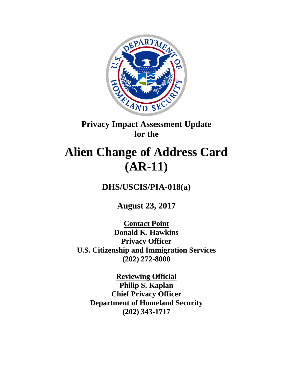

## **Privacy Impact Assessment Update for the**

# **Alien Change of Address Card (AR-11)**

**DHS/USCIS/PIA-018(a)**

**August 23, 2017** 

**Contact Point Donald K. Hawkins Privacy Officer U.S. Citizenship and Immigration Services (202) 272-8000**

**Reviewing Official Philip S. Kaplan Chief Privacy Officer Department of Homeland Security (202) 343-1717**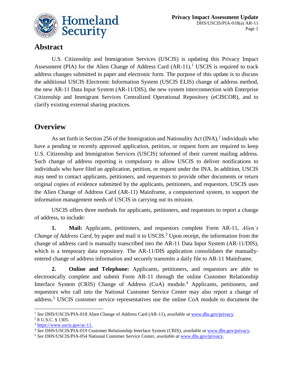

## **Abstract**

U.S. Citizenship and Immigration Services (USCIS) is updating this Privacy Impact Assessment (PIA) for the Alien Change of Address Card  $(AR-11)$ .<sup>1</sup> USCIS is required to track address changes submitted in paper and electronic form. The purpose of this update is to discuss the additional USCIS Electronic Information System (USCIS ELIS) change of address method, the new AR-11 Data Input System (AR-11/DIS), the new system interconnection with Enterprise Citizenship and Immigrant Services Centralized Operational Repository (eCISCOR), and to clarify existing external sharing practices.

## **Overview**

As set forth in Section 256 of the Immigration and Nationality Act  $(INA)$ , individuals who have a pending or recently approved application, petition, or request form are required to keep U.S. Citizenship and Immigration Services (USCIS) informed of their current mailing address. Such change of address reporting is compulsory to allow USCIS to deliver notifications to individuals who have filed an application, petition, or request under the INA. In addition, USCIS may need to contact applicants, petitioners, and requestors to provide other documents or return original copies of evidence submitted by the applicants, petitioners, and requestors. USCIS uses the Alien Change of Address Card (AR-11) Mainframe, a computerized system, to support the information management needs of USCIS in carrying out its mission.

USCIS offers three methods for applicants, petitioners, and requestors to report a change of address, to include:

**1. Mail:** Applicants, petitioners, and requestors complete Form AR-11, *Alien's Change of Address Card,* by paper and mail it to USCIS. <sup>3</sup> Upon receipt, the information from the change of address card is manually transcribed into the AR-11 Data Input System (AR-11/DIS), which is a temporary data repository. The AR-11/DIS application consolidates the manuallyentered change of address information and securely transmits a daily file to AR-11 Mainframe.

**2. Online and Telephone:** Applicants, petitioners, and requestors are able to electronically complete and submit Form AR-11 through the online Customer Relationship Interface System (CRIS) Change of Address (CoA) module.<sup>4</sup> Applicants, petitioners, and requestors who call into the National Customer Service Center may also report a change of address.<sup>5</sup> USCIS customer service representatives use the online CoA module to document the

 $\overline{a}$ <sup>1</sup> *See* DHS/USCIS/PIA-018 Alien Change of Address Card (AR-11), *available at* [www.dhs.gov/privacy.](http://www.dhs.gov/privacy)

<sup>2</sup> 8 U.S.C. § 1305.

<sup>3</sup> [https://www.uscis.gov/ar-11.](https://www.uscis.gov/ar-11)

<sup>4</sup> *See* DHS/USCIS/PIA-019 Customer Relationship Interface System (CRIS), *available at* [www.dhs.gov/privacy.](http://www.dhs.gov/privacy)

<sup>5</sup> *See* DHS/USCIS/PIA-054 National Customer Service Center, *available at* [www.dhs.gov/privacy.](http://www.dhs.gov/privacy)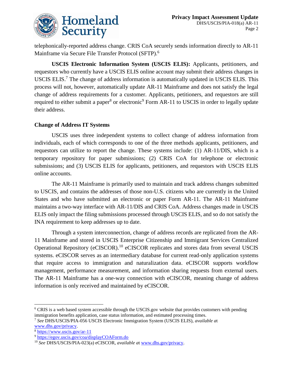

telephonically-reported address change. CRIS CoA securely sends information directly to AR-11 Mainframe via Secure File Transfer Protocol (SFTP).<sup>6</sup>

**USCIS Electronic Information System (USCIS ELIS):** Applicants, petitioners, and requestors who currently have a USCIS ELIS online account may submit their address changes in USCIS ELIS.<sup>7</sup> The change of address information is automatically updated in USCIS ELIS. This process will not, however, automatically update AR-11 Mainframe and does not satisfy the legal change of address requirements for a customer. Applicants, petitioners, and requestors are still required to either submit a paper<sup>8</sup> or electronic<sup>9</sup> Form AR-11 to USCIS in order to legally update their address.

#### **Change of Address IT Systems**

USCIS uses three independent systems to collect change of address information from individuals, each of which corresponds to one of the three methods applicants, petitioners, and requestors can utilize to report the change. These systems include: (1) AR-11/DIS, which is a temporary repository for paper submissions; (2) CRIS CoA for telephone or electronic submissions; and (3) USCIS ELIS for applicants, petitioners, and requestors with USCIS ELIS online accounts.

The AR-11 Mainframe is primarily used to maintain and track address changes submitted to USCIS, and contains the addresses of those non-U.S. citizens who are currently in the United States and who have submitted an electronic or paper Form AR-11. The AR-11 Mainframe maintains a two-way interface with AR-11/DIS and CRIS CoA. Address changes made in USCIS ELIS only impact the filing submissions processed through USCIS ELIS, and so do not satisfy the INA requirement to keep addresses up to date.

Through a system interconnection, change of address records are replicated from the AR-11 Mainframe and stored in USCIS Enterprise Citizenship and Immigrant Services Centralized Operational Repository (eCISCOR).<sup>10</sup> eCISCOR replicates and stores data from several USCIS systems. eCISCOR serves as an intermediary database for current read-only application systems that require access to immigration and naturalization data. eCISCOR supports workflow management, performance measurement, and information sharing requests from external users. The AR-11 Mainframe has a one-way connection with eCISCOR, meaning change of address information is only received and maintained by eCISCOR.

 $\overline{a}$ <sup>6</sup> CRIS is a web based system accessible through the USCIS.gov website that provides customers with pending immigration benefits application, case status information, and estimated processing times.

<sup>7</sup> *See* DHS/USCIS/PIA-056 USCIS Electronic Immigration System (USCIS ELIS), *available a*t

[www.dhs.gov/privacy.](http://www.dhs.gov/privacy)

<sup>8</sup> <https://www.uscis.gov/ar-11>

<sup>9</sup> <https://egov.uscis.gov/coa/displayCOAForm.do>

<sup>10</sup> *See* DHS/USCIS/PIA-023(a) eCISCOR, *available a*t [www.dhs.gov/privacy.](http://www.dhs.gov/privacy)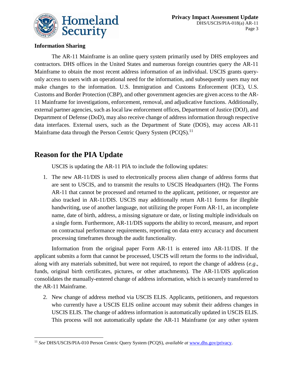

#### **Information Sharing**

The AR-11 Mainframe is an online query system primarily used by DHS employees and contractors. DHS offices in the United States and numerous foreign countries query the AR-11 Mainframe to obtain the most recent address information of an individual. USCIS grants queryonly access to users with an operational need for the information, and subsequently users may not make changes to the information. U.S. Immigration and Customs Enforcement (ICE), U.S. Customs and Border Protection (CBP), and other government agencies are given access to the AR-11 Mainframe for investigations, enforcement, removal, and adjudicative functions. Additionally, external partner agencies, such as local law enforcement offices, Department of Justice (DOJ), and Department of Defense (DoD), may also receive change of address information through respective data interfaces. External users, such as the Department of State (DOS), may access AR-11 Mainframe data through the Person Centric Query System (PCQS).<sup>11</sup>

## **Reason for the PIA Update**

USCIS is updating the AR-11 PIA to include the following updates:

1. The new AR-11/DIS is used to electronically process alien change of address forms that are sent to USCIS, and to transmit the results to USCIS Headquarters (HQ). The Forms AR-11 that cannot be processed and returned to the applicant, petitioner, or requestor are also tracked in AR-11/DIS. USCIS may additionally return AR-11 forms for illegible handwriting, use of another language, not utilizing the proper Form AR‐11, an incomplete name, date of birth, address, a missing signature or date, or listing multiple individuals on a single form. Furthermore, AR-11/DIS supports the ability to record, measure, and report on contractual performance requirements, reporting on data entry accuracy and document processing timeframes through the audit functionality.

Information from the original paper Form AR-11 is entered into AR-11/DIS. If the applicant submits a form that cannot be processed, USCIS will return the forms to the individual, along with any materials submitted, but were not required, to report the change of address (*e.g*., funds, original birth certificates, pictures, or other attachments). The AR-11/DIS application consolidates the manually-entered change of address information, which is securely transferred to the AR-11 Mainframe.

2. New change of address method via USCIS ELIS. Applicants, petitioners, and requestors who currently have a USCIS ELIS online account may submit their address changes in USCIS ELIS. The change of address information is automatically updated in USCIS ELIS. This process will not automatically update the AR-11 Mainframe (or any other system

 $\overline{a}$ <sup>11</sup> *See* DHS/USCIS/PIA-010 Person Centric Query System (PCQS), *available at* [www.dhs.gov/privacy.](http://www.dhs.gov/privacy)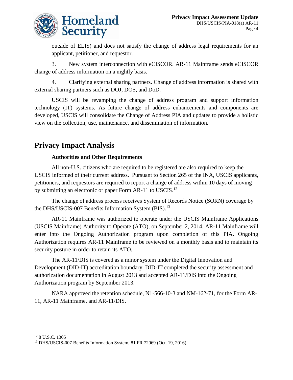

outside of ELIS) and does not satisfy the change of address legal requirements for an applicant, petitioner, and requestor.

3. New system interconnection with eCISCOR. AR-11 Mainframe sends eCISCOR change of address information on a nightly basis.

4. Clarifying external sharing partners. Change of address information is shared with external sharing partners such as DOJ, DOS, and DoD.

USCIS will be revamping the change of address program and support information technology (IT) systems. As future change of address enhancements and components are developed, USCIS will consolidate the Change of Address PIA and updates to provide a holistic view on the collection, use, maintenance, and dissemination of information.

## **Privacy Impact Analysis**

#### **Authorities and Other Requirements**

All non-U.S. citizens who are required to be registered are also required to keep the USCIS informed of their current address. Pursuant to Section 265 of the INA, USCIS applicants, petitioners, and requestors are required to report a change of address within 10 days of moving by submitting an electronic or paper Form AR-11 to USCIS.<sup>12</sup>

The change of address process receives System of Records Notice (SORN) coverage by the DHS/USCIS-007 Benefits Information System (BIS).<sup>13</sup>

AR-11 Mainframe was authorized to operate under the USCIS Mainframe Applications (USCIS Mainframe) Authority to Operate (ATO), on September 2, 2014. AR-11 Mainframe will enter into the Ongoing Authorization program upon completion of this PIA. Ongoing Authorization requires AR-11 Mainframe to be reviewed on a monthly basis and to maintain its security posture in order to retain its ATO.

The AR-11/DIS is covered as a minor system under the Digital Innovation and Development (DID-IT) accreditation boundary. DID-IT completed the security assessment and authorization documentation in August 2013 and accepted AR-11/DIS into the Ongoing Authorization program by September 2013.

NARA approved the retention schedule, N1-566-10-3 and NM-162-71, for the Form AR-11, AR-11 Mainframe, and AR-11/DIS.

 $\overline{a}$ <sup>12</sup> 8 U.S.C. 1305

<sup>13</sup> DHS/USCIS-007 Benefits Information System, 81 FR 72069 (Oct. 19, 2016).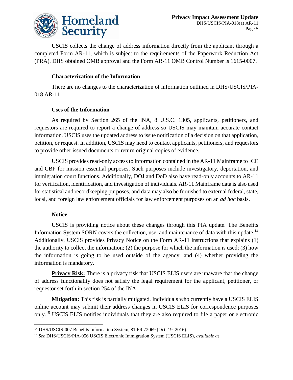

USCIS collects the change of address information directly from the applicant through a completed Form AR-11, which is subject to the requirements of the Paperwork Reduction Act (PRA). DHS obtained OMB approval and the Form AR-11 OMB Control Number is 1615-0007.

#### **Characterization of the Information**

There are no changes to the characterization of information outlined in DHS/USCIS/PIA-018 AR-11.

#### **Uses of the Information**

As required by Section 265 of the INA, 8 U.S.C. 1305, applicants, petitioners, and requestors are required to report a change of address so USCIS may maintain accurate contact information. USCIS uses the updated address to issue notification of a decision on that application, petition, or request. In addition, USCIS may need to contact applicants, petitioners, and requestors to provide other issued documents or return original copies of evidence.

USCIS provides read-only access to information contained in the AR-11 Mainframe to ICE and CBP for mission essential purposes. Such purposes include investigatory, deportation, and immigration court functions. Additionally, DOJ and DoD also have read-only accounts to AR-11 for verification, identification, and investigation of individuals. AR-11 Mainframe data is also used for statistical and recordkeeping purposes, and data may also be furnished to external federal, state, local, and foreign law enforcement officials for law enforcement purposes on an *ad hoc* basis.

#### **Notice**

USCIS is providing notice about these changes through this PIA update. The Benefits Information System SORN covers the collection, use, and maintenance of data with this update.<sup>14</sup> Additionally, USCIS provides Privacy Notice on the Form AR-11 instructions that explains (1) the authority to collect the information; (2) the purpose for which the information is used; (3) how the information is going to be used outside of the agency; and (4) whether providing the information is mandatory.

**Privacy Risk:** There is a privacy risk that USCIS ELIS users are unaware that the change of address functionality does not satisfy the legal requirement for the applicant, petitioner, or requestor set forth in section 254 of the INA.

**Mitigation:** This risk is partially mitigated. Individuals who currently have a USCIS ELIS online account may submit their address changes in USCIS ELIS for correspondence purposes only.<sup>15</sup> USCIS ELIS notifies individuals that they are also required to file a paper or electronic

 $\overline{a}$ <sup>14</sup> DHS/USCIS-007 Benefits Information System, 81 FR 72069 (Oct. 19, 2016).

<sup>15</sup> *See* DHS/USCIS/PIA-056 USCIS Electronic Immigration System (USCIS ELIS), *available a*t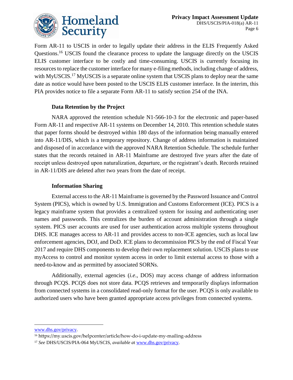

Form AR-11 to USCIS in order to legally update their address in the ELIS Frequently Asked Questions.<sup>16</sup> USCIS found the clearance process to update the language directly on the USCIS ELIS customer interface to be costly and time-consuming. USCIS is currently focusing its resources to replace the customer interface for many e-filing methods, including change of address, with MyUSCIS.<sup>17</sup> MyUSCIS is a separate online system that USCIS plans to deploy near the same date as notice would have been posted to the USCIS ELIS customer interface. In the interim, this PIA provides notice to file a separate Form AR-11 to satisfy section 254 of the INA.

#### **Data Retention by the Project**

NARA approved the retention schedule N1-566-10-3 for the electronic and paper-based Form AR-11 and respective AR-11 systems on December 14, 2010. This retention schedule states that paper forms should be destroyed within 180 days of the information being manually entered into AR-11/DIS, which is a temporary repository. Change of address information is maintained and disposed of in accordance with the approved NARA Retention Schedule. The schedule further states that the records retained in AR-11 Mainframe are destroyed five years after the date of receipt unless destroyed upon naturalization, departure, or the registrant's death. Records retained in AR-11/DIS are deleted after two years from the date of receipt.

#### **Information Sharing**

External access to the AR-11 Mainframe is governed by the Password Issuance and Control System (PICS), which is owned by U.S. Immigration and Customs Enforcement (ICE). PICS is a legacy mainframe system that provides a centralized system for issuing and authenticating user names and passwords. This centralizes the burden of account administration through a single system. PICS user accounts are used for user authentication across multiple systems throughout DHS. ICE manages access to AR-11 and provides access to non-ICE agencies, such as local law enforcement agencies, DOJ, and DoD. ICE plans to decommission PICS by the end of Fiscal Year 2017 and require DHS components to develop their own replacement solution. USCIS plans to use myAccess to control and monitor system access in order to limit external access to those with a need-to-know and as permitted by associated SORNs.

Additionally, external agencies (*i.e*., DOS) may access change of address information through PCQS. PCQS does not store data. PCQS retrieves and temporarily displays information from connected systems in a consolidated read-only format for the user. PCQS is only available to authorized users who have been granted appropriate access privileges from connected systems.

 $\overline{a}$ 

[www.dhs.gov/privacy.](http://www.dhs.gov/privacy)

<sup>16</sup> https://my.uscis.gov/helpcenter/article/how-do-i-update-my-mailing-address

<sup>17</sup> *See* DHS/USCIS/PIA-064 MyUSCIS, *available a*t [www.dhs.gov/privacy.](http://www.dhs.gov/privacy)